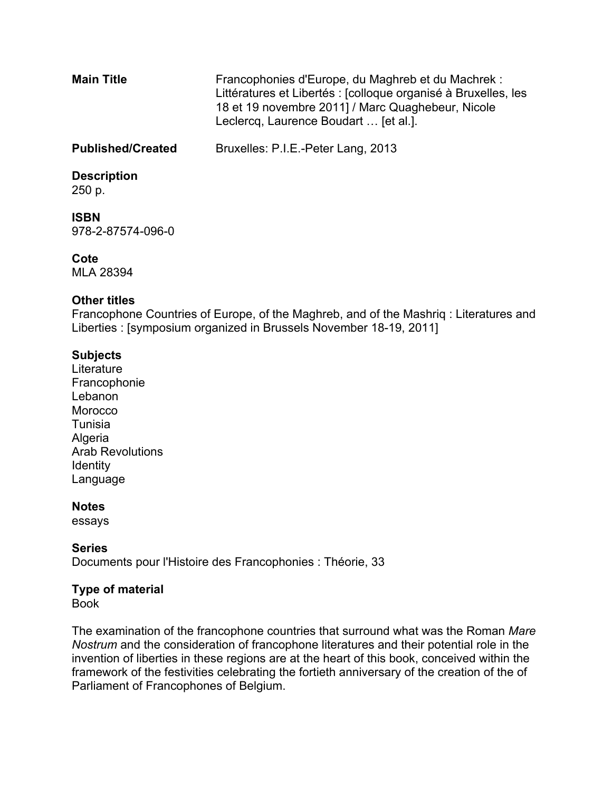| <b>Main Title</b>        | Francophonies d'Europe, du Maghreb et du Machrek :<br>Littératures et Libertés : [colloque organisé à Bruxelles, les<br>18 et 19 novembre 2011] / Marc Quaghebeur, Nicole<br>Leclercq, Laurence Boudart  [et al.]. |
|--------------------------|--------------------------------------------------------------------------------------------------------------------------------------------------------------------------------------------------------------------|
| <b>Published/Created</b> | Bruxelles: P.I.E.-Peter Lang, 2013                                                                                                                                                                                 |
| <b>Description</b>       |                                                                                                                                                                                                                    |

#### **Description**

250 p.

# **ISBN**

978-2-87574-096-0

### **Cote**

MLA 28394

### **Other titles**

Francophone Countries of Europe, of the Maghreb, and of the Mashriq : Literatures and Liberties : [symposium organized in Brussels November 18-19, 2011]

### **Subjects**

**Literature** Francophonie Lebanon **Morocco** Tunisia Algeria Arab Revolutions **Identity** Language

#### **Notes**

essays

#### **Series** Documents pour l'Histoire des Francophonies : Théorie, 33

## **Type of material**

Book

The examination of the francophone countries that surround what was the Roman *Mare Nostrum* and the consideration of francophone literatures and their potential role in the invention of liberties in these regions are at the heart of this book, conceived within the framework of the festivities celebrating the fortieth anniversary of the creation of the of Parliament of Francophones of Belgium.